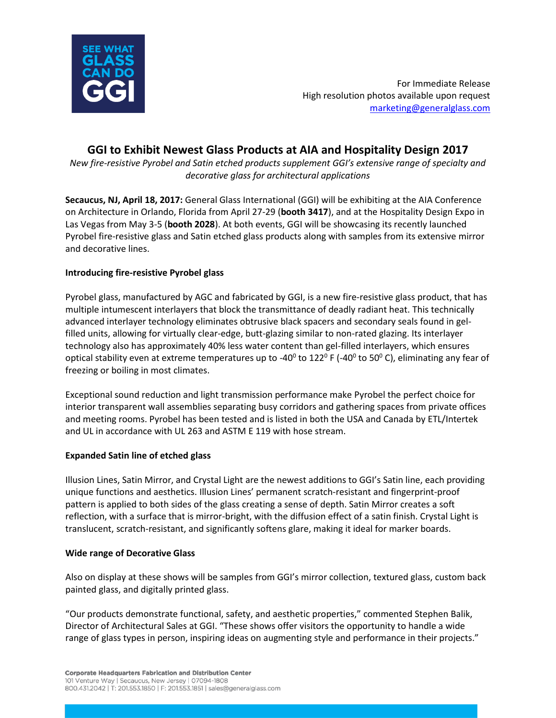

For Immediate Release High resolution photos available upon request [marketing@generalglass.com](mailto:marketing@generalglass.com?subject=AIA%20high%20resolution%20photos)

# **GGI to Exhibit Newest Glass Products at AIA and Hospitality Design 2017**

*New fire-resistive Pyrobel and Satin etched products supplement GGI's extensive range of specialty and decorative glass for architectural applications*

**Secaucus, NJ, April 18, 2017:** General Glass International (GGI) will be exhibiting at the AIA [Conference](http://www.aiaorlando.com/) on Architecture in Orlando, Florida from April 27-29 (**booth 3417**), and at the Hospitality Design Expo in Las Vegas from May 3-5 (**booth 2028**). At both events, GGI will be showcasing its recently launched Pyrobel fire-resistive glass and Satin etched glass products along with samples from its extensive mirror and decorative lines.

## **Introducing fire-resistive Pyrobel glass**

Pyrobel glass, manufactured by AGC and fabricated by GGI, is a new fire-resistive glass product, that has multiple intumescent interlayers that block the transmittance of deadly radiant heat. This technically advanced interlayer technology eliminates obtrusive black spacers and secondary seals found in gelfilled units, allowing for virtually clear-edge, butt-glazing similar to non-rated glazing. Its interlayer technology also has approximately 40% less water content than gel-filled interlayers, which ensures optical stability even at extreme temperatures up to -40<sup>0</sup> to 122<sup>0</sup> F (-40<sup>0</sup> to 50<sup>0</sup> C), eliminating any fear of freezing or boiling in most climates.

Exceptional sound reduction and light transmission performance make Pyrobel the perfect choice for interior transparent wall assemblies separating busy corridors and gathering spaces from private offices and meeting rooms. Pyrobel has been tested and is listed in both the USA and Canada by ETL/Intertek and UL in accordance with UL 263 and ASTM E 119 with hose stream.

### **Expanded Satin line of etched glass**

Illusion Lines, Satin Mirror, and Crystal Light are the newest additions to GGI's Satin line, each providing unique functions and aesthetics. Illusion Lines' permanent scratch-resistant and fingerprint-proof pattern is applied to both sides of the glass creating a sense of depth. Satin Mirror creates a soft reflection, with a surface that is mirror-bright, with the diffusion effect of a satin finish. Crystal Light is translucent, scratch-resistant, and significantly softens glare, making it ideal for marker boards.

### **Wide range of Decorative Glass**

Also on display at these shows will be samples from GGI's mirror collection, textured glass, custom back painted glass, and digitally printed glass.

"Our products demonstrate functional, safety, and aesthetic properties," commented Stephen Balik, Director of Architectural Sales at GGI. "These shows offer visitors the opportunity to handle a wide range of glass types in person, inspiring ideas on augmenting style and performance in their projects."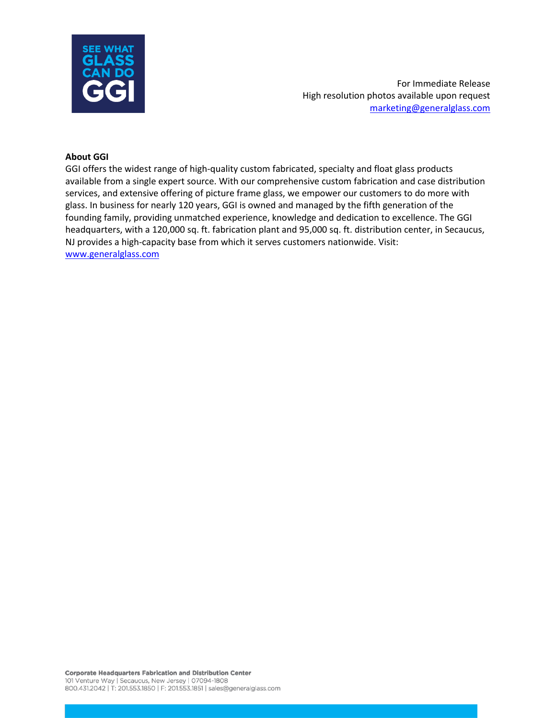

For Immediate Release High resolution photos available upon request [marketing@generalglass.com](mailto:marketing@generalglass.com?subject=AIA%20high%20resolution%20photos)

#### **About GGI**

GGI offers the widest range of high-quality custom fabricated, specialty and float glass products available from a single expert source. With our comprehensive custom fabrication and case distribution services, and extensive offering of picture frame glass, we empower our customers to do more with glass. In business for nearly 120 years, GGI is owned and managed by the fifth generation of the founding family, providing unmatched experience, knowledge and dedication to excellence. The GGI headquarters, with a 120,000 sq. ft. fabrication plant and 95,000 sq. ft. distribution center, in Secaucus, NJ provides a high-capacity base from which it serves customers nationwide. Visit: [www.generalglass.com](http://www.generalglass.com/)